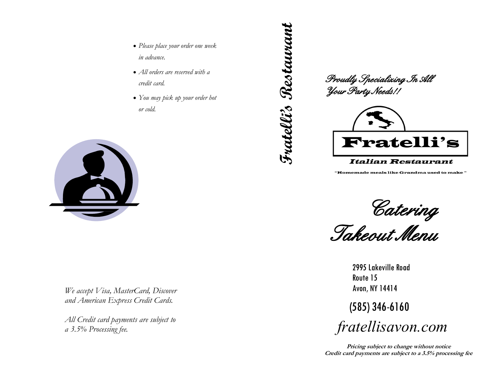- *Please place your order one week in advance.*
- *All orders are reserved with a credit card.*
- *You may pick up your order hot or cold.*



*We accept Visa, MasterCard, Discover and American Express Credit Cards.*

*All Credit card payments are subject to a 3.5% Processing fee.*

**Fratelli's Restaurant** Fratellis Restaurant

*Proudly Specializing In All Your Party Needs!!* 



## **Italian Restaurant**

"Homemade meals like Grandma used to make"

*Catering* 

*Takeout Menu* 

2995 Lakeville Road Route 15 Avon, NY 14414

(585) 346-6160

*fratellisavon.com*

**Pricing subject to change without notice Credit card payments are subject to a 3.5% processing fee**